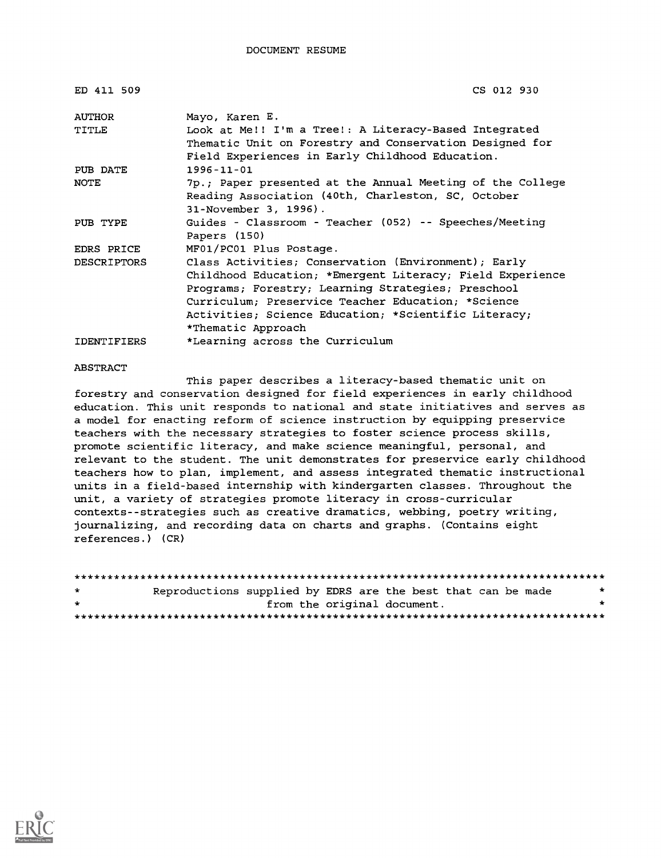| ED 411 509         | CS 012 930                                                |
|--------------------|-----------------------------------------------------------|
| AUTHOR             | Mayo, Karen E.                                            |
| TITLE              | Look at Me!! I'm a Tree!: A Literacy-Based Integrated     |
|                    | Thematic Unit on Forestry and Conservation Designed for   |
|                    | Field Experiences in Early Childhood Education.           |
| PUB DATE           | $1996 - 11 - 01$                                          |
| NOTE               | 7p.; Paper presented at the Annual Meeting of the College |
|                    | Reading Association (40th, Charleston, SC, October        |
|                    | 31-November 3, 1996).                                     |
| PUB TYPE           | Guides - Classroom - Teacher (052) -- Speeches/Meeting    |
|                    | Papers (150)                                              |
| EDRS PRICE         | MF01/PC01 Plus Postage.                                   |
| <b>DESCRIPTORS</b> | Class Activities; Conservation (Environment); Early       |
|                    | Childhood Education; *Emergent Literacy; Field Experience |
|                    | Programs; Forestry; Learning Strategies; Preschool        |
|                    | Curriculum: Preservice Teacher Education: *Science        |
|                    | Activities; Science Education; *Scientific Literacy;      |
|                    | *Thematic Approach                                        |
| <b>IDENTIFIERS</b> | *Learning across the Curriculum                           |

#### ABSTRACT

This paper describes a literacy-based thematic unit on forestry and conservation designed for field experiences in early childhood education. This unit responds to national and state initiatives and serves as a model for enacting reform of science instruction by equipping preservice teachers with the necessary strategies to foster science process skills, promote scientific literacy, and make science meaningful, personal, and relevant to the student. The unit demonstrates for preservice early childhood teachers how to plan, implement, and assess integrated thematic instructional units in a field-based internship with kindergarten classes. Throughout the unit, a variety of strategies promote literacy in cross-curricular contexts--strategies such as creative dramatics, webbing, poetry writing, journalizing, and recording data on charts and graphs. (Contains eight references.) (CR)

| $\star$ | Reproductions supplied by EDRS are the best that can be made |                             |  |  | * |
|---------|--------------------------------------------------------------|-----------------------------|--|--|---|
| $\star$ |                                                              | from the original document. |  |  | ÷ |
|         |                                                              |                             |  |  |   |

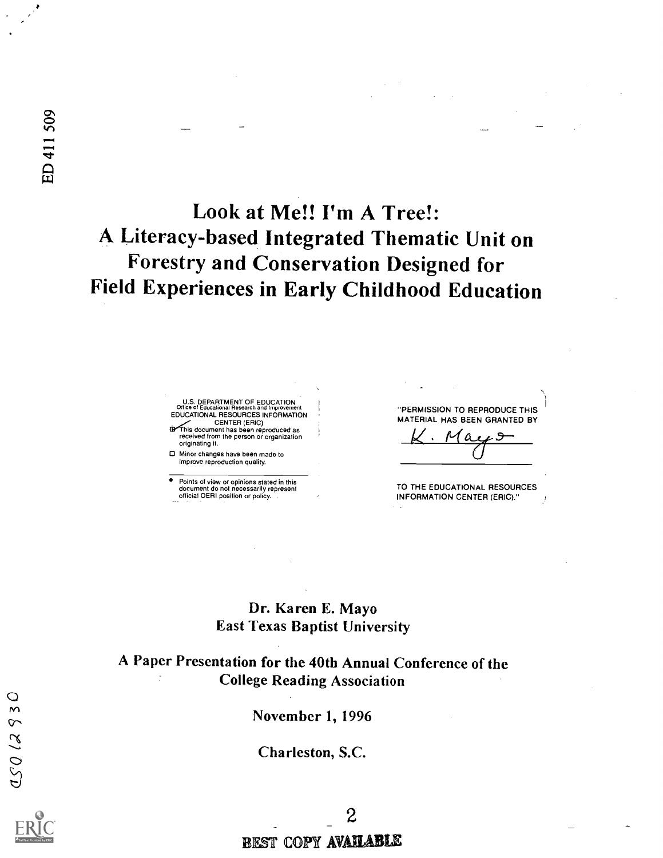# Look at Me!! I'm A Tree!: A Literacy-based Integrated Thematic Unit on Forestry and Conservation Designed for Field Experiences in Early Childhood Education

U.S. DEPARTMENT OF EDUCATION<br>Office of Educational Research and Improvement<br>EDUCATIONAL RESOURCES INFORMATION CENTER (ERIC)<br>In This document has been reproduced as received from the person or organization originating it.

Minor changes have been made to improve reproduction quality.

Points of view or opinions stated in this document do not necessarily represent official OERI position or policy. "PERMISSION TO REPRODUCE THIS MATERIAL HAS BEEN GRANTED BY

a

TO THE EDUCATIONAL RESOURCES INFORMATION CENTER (ERIC)."

## Dr. Karen E. Mayo East Texas Baptist University

## A Paper Presentation for the 40th Annual Conference of the College Reading Association

November 1, 1996

Charleston, S.C.

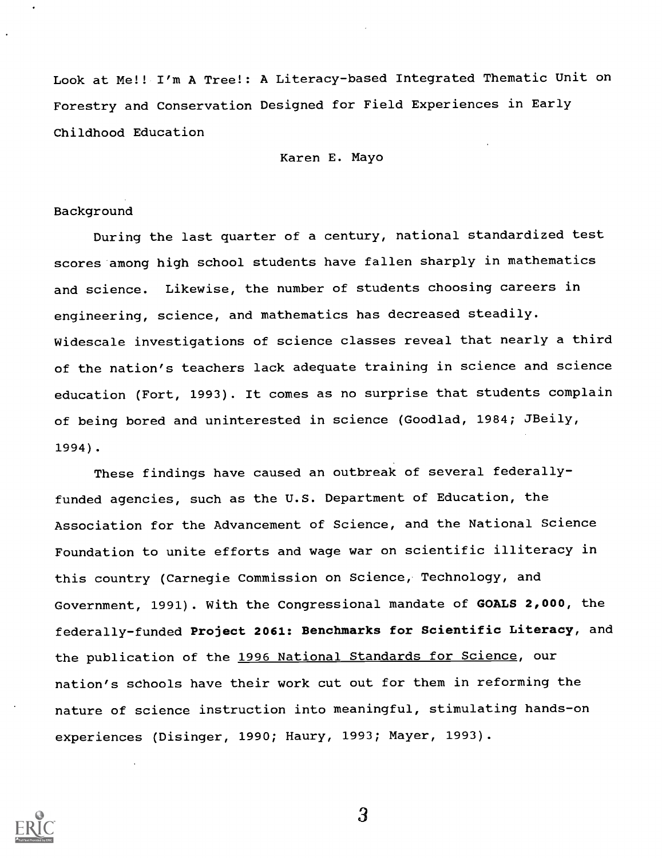Look at Me!! I'm A Tree!: A Literacy-based Integrated Thematic Unit on Forestry and Conservation Designed for Field Experiences in Early Childhood Education

Karen E. Mayo

#### Background

During the last quarter of a century, national standardized test scores among high school students have fallen sharply in mathematics and science. Likewise, the number of students choosing careers in engineering, science, and mathematics has decreased steadily. Widescale investigations of science classes reveal that nearly a third of the nation's teachers lack adequate training in science and science education (Fort, 1993). It comes as no surprise that students complain of being bored and uninterested in science (Goodlad, 1984; JBeily, 1994).

These findings have caused an outbreak of several federallyfunded agencies, such as the U.S. Department of Education, the Association for the Advancement of Science, and the National Science Foundation to unite efforts and wage war on scientific illiteracy in this country (Carnegie Commission on Science, Technology, and Government, 1991). With the Congressional mandate of GOALS 2,000, the federally-funded Project 2061: Benchmarks for Scientific Literacy, and the publication of the 1996 National Standards for Science, our nation's schools have their work cut out for them in reforming the nature of science instruction into meaningful, stimulating hands-on experiences (Disinger, 1990; Haury, 1993; Mayer, 1993).



3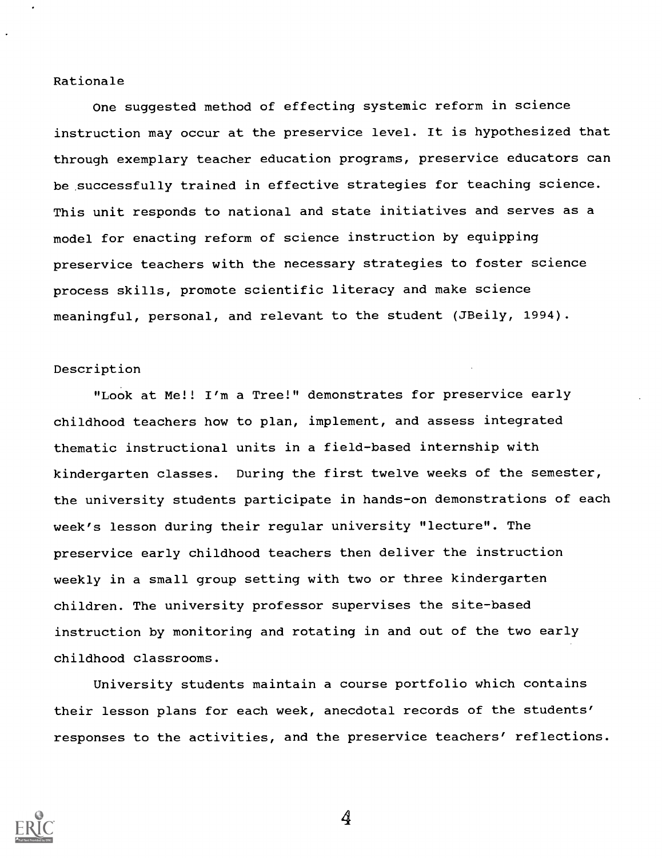#### Rationale

One suggested method of effecting systemic reform in science instruction may occur at the preservice level. It is hypothesized that through exemplary teacher education programs, preservice educators can be successfully trained in effective strategies for teaching science. This unit responds to national and state initiatives and serves as a model for enacting reform of science instruction by equipping preservice teachers with the necessary strategies to foster science process skills, promote scientific literacy and make science meaningful, personal, and relevant to the student (JBeily, 1994).

#### Description

"Look at Me!! I'm a Tree!" demonstrates for preservice early childhood teachers how to plan, implement, and assess integrated thematic instructional units in a field-based internship with kindergarten classes. During the first twelve weeks of the semester, the university students participate in hands-on demonstrations of each week's lesson during their regular university "lecture". The preservice early childhood teachers then deliver the instruction weekly in a small group setting with two or three kindergarten children. The university professor supervises the site-based instruction by monitoring and rotating in and out of the two early childhood classrooms.

University students maintain a course portfolio which contains their lesson plans for each week, anecdotal records of the students' responses to the activities, and the preservice teachers' reflections.



4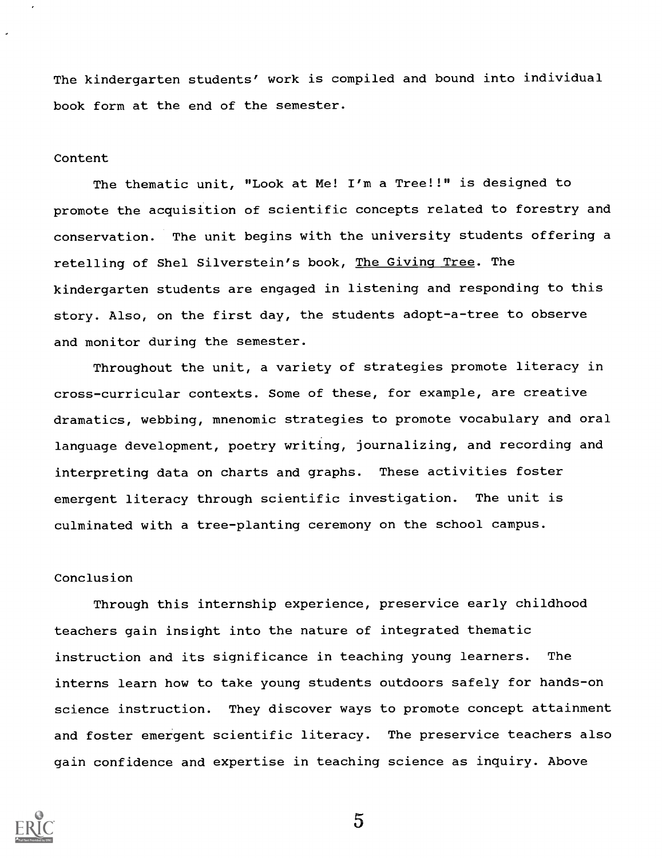The kindergarten students' work is compiled and bound into individual book form at the end of the semester.

#### Content

The thematic unit, "Look at Me! I'm a Tree!!" is designed to promote the acquisition of scientific concepts related to forestry and conservation. The unit begins with the university students offering a retelling of Shel Silverstein's book, The Giving Tree. The kindergarten students are engaged in listening and responding to this story. Also, on the first day, the students adopt-a-tree to observe and monitor during the semester.

Throughout the unit, a variety of strategies promote literacy in cross-curricular contexts. Some of these, for example, are creative dramatics, webbing, mnenomic strategies to promote vocabulary and oral language development, poetry writing, journalizing, and recording and interpreting data on charts and graphs. These activities foster emergent literacy through scientific investigation. The unit is culminated with a tree-planting ceremony on the school campus.

#### Conclusion

Through this internship experience, preservice early childhood teachers gain insight into the nature of integrated thematic instruction and its significance in teaching young learners. The interns learn how to take young students outdoors safely for hands-on science instruction. They discover ways to promote concept attainment and foster emergent scientific literacy. The preservice teachers also gain confidence and expertise in teaching science as inquiry. Above



5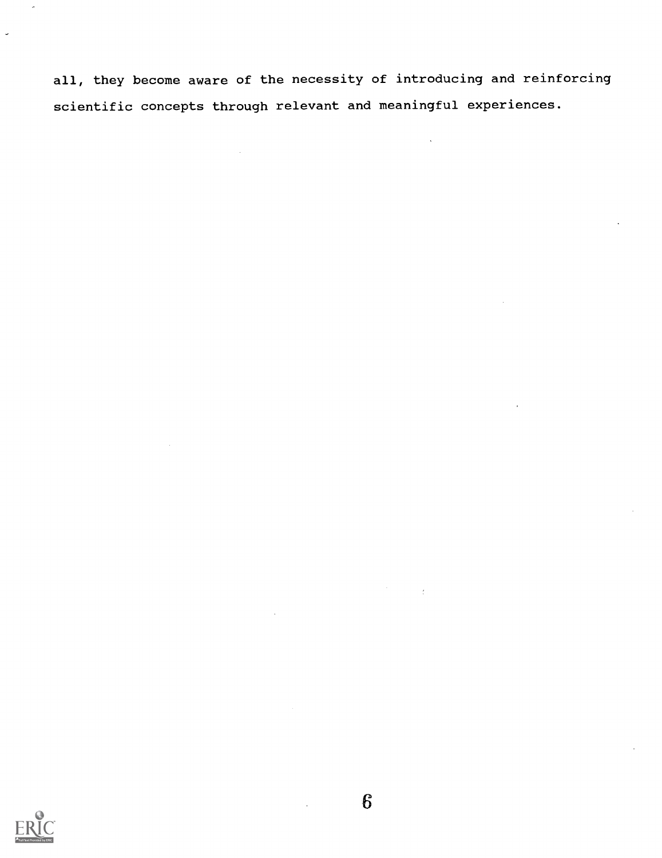all, they become aware of the necessity of introducing and reinforcing scientific concepts through relevant and meaningful experiences.

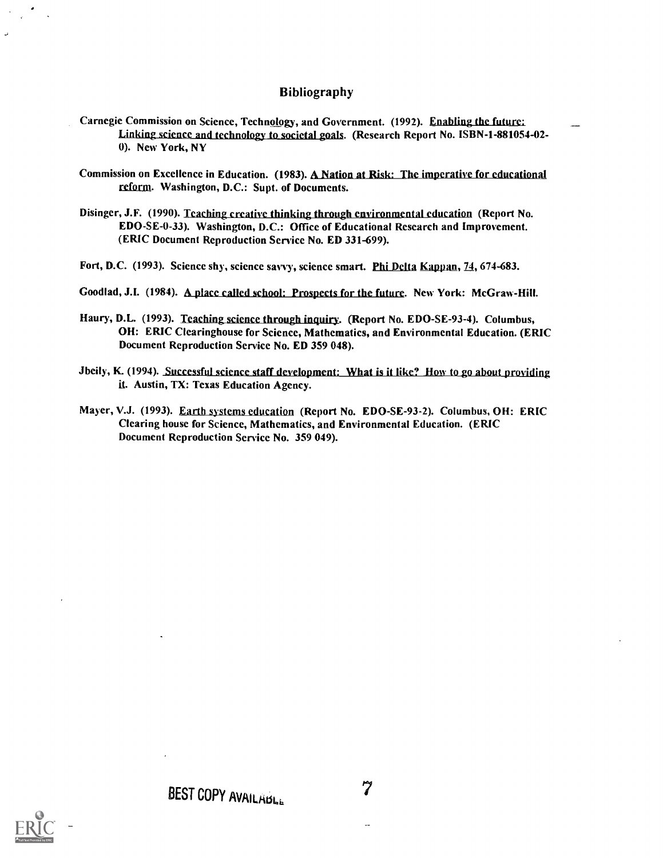#### Bibliography

- Carnegie Commission on Science, Technology, and Government. (1992). Enabling the future: Linking science and technology to societal goals. (Research Report No. ISBN-1-881054-02-0). New York, NY
- Commission on Excellence in Education. (1983). A Nation at Risk: The imperative for educational reform. Washington, D.C.: Supt. of Documents.
- Disingcr, J.F. (1990). Teaching creative thinking through environmental education (Report No. EDO-SE-0-33). Washington, D.C.: Office of Educational Research and Improvement. (ERIC Document Reproduction Service No. ED 331-699).
- Fort, D.C. (1993). Science shy, science savvy, science smart. Phi Delta Kappan, 74, 674-683.
- Goodlad, J.I. (1984). A place called school: Prospects for the future. New York: McGraw-Hill.
- Haury, D.L. (1993). Teaching science through inquiry. (Report No. EDO-SE-93-4). Columbus, OH: ERIC Clearinghouse for Science, Mathematics, and Environmental Education. (ERIC Document Reproduction Service No. ED 359 048).
- Jbeily, K. (1994). Successful science staff development: What is it like? How to go about providing it. Austin, TX: Texas Education Agency.
- Mayer, V.J. (1993). Earth systems education (Report No. EDO-SE-93-2). Columbus, OH: ERIC Clearing house for Science, Mathematics, and Environmental Education. (ERIC Document Reproduction Service No. 359 049).

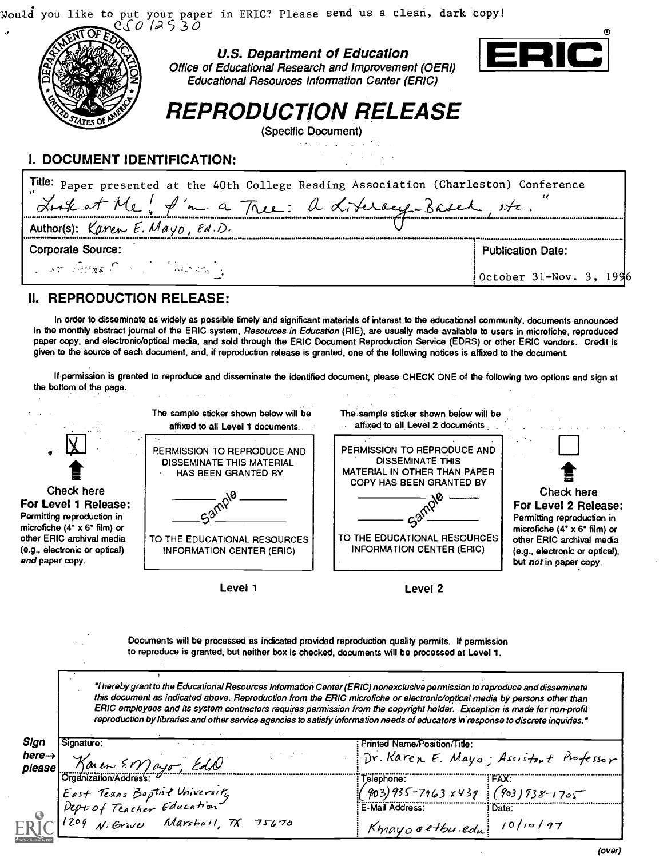Would you like to put your paper in ERIC? Please send us a clean, dark copy!



z Educational Resources Information Center (ERIC) U.S. Department of Education Office of Educational Research and Improvement (OERI)



REPRODUCTION RELEASE

(Specific Document)

## I. DOCUMENT IDENTIFICATION:

| Tille: Paper presented at the 40th College Reading Association (Charleston) Conference |                          |  |  |  |
|----------------------------------------------------------------------------------------|--------------------------|--|--|--|
| Look at Me! I'm a Thee: a Literacy-Based, etc.                                         |                          |  |  |  |
| Author(s): Karen E. Mayo, Ed.D.                                                        |                          |  |  |  |
| <b>Corporate Source:</b>                                                               | <b>Publication Date:</b> |  |  |  |
| Car Bres Committee Commission                                                          | October 31-Nov. 3, 1996  |  |  |  |

### II. REPRODUCTION RELEASE:

In order to disseminate as widely as possible timely and significant materials of interest to the educational community, documents announced in the monthly abstract journal of the ERIC system, Resources in Education (RIE), are usually made available to users in microfiche, reproduced paper copy, and electronic/optical media, and sold through the ERIC Document Reproduction Service (EDRS) or other ERIC vendors. Credit is given to the source of each document, and, if reproduction release is granted, one of the following notices is affixed to the document.

If permission is granted to reproduce and disseminate the identified document, please CHECK ONE of the following two options and sign at the bottom of the page.  $\label{eq:1} \frac{1}{\sqrt{2}}\int_{0}^{1} \frac{1}{\sqrt{2}}\left(\frac{1}{\sqrt{2}}\right)^{2} \left(\frac{1}{\sqrt{2}}\right)^{2} \left(\frac{1}{\sqrt{2}}\right)^{2} \left(\frac{1}{\sqrt{2}}\right)^{2} \left(\frac{1}{\sqrt{2}}\right)^{2} \left(\frac{1}{\sqrt{2}}\right)^{2} \left(\frac{1}{\sqrt{2}}\right)^{2} \left(\frac{1}{\sqrt{2}}\right)^{2} \left(\frac{1}{\sqrt{2}}\right)^{2} \left(\frac{1}{\sqrt{2}}\right)^{2} \left(\frac{$  $\frac{1}{2}$  $\sim 10^{11}$  km s  $^{-1}$  $\mathbb{R}^2$  $\mathbb{R}^2$ 

| affixed to all Level 1 documents.<br><b>PERMISSION TO REPRODUCE AND</b><br><b>DISSEMINATE THIS MATERIAL</b>       | The sample sticker shown below will be<br>affixed to all Level 2 documents<br>PERMISSION TO REPRODUCE AND<br><b>DISSEMINATE THIS</b>                                                                                                                                                                                                                                                                                                                                                                                        |                                                                                                                                                                                                                                      |  |
|-------------------------------------------------------------------------------------------------------------------|-----------------------------------------------------------------------------------------------------------------------------------------------------------------------------------------------------------------------------------------------------------------------------------------------------------------------------------------------------------------------------------------------------------------------------------------------------------------------------------------------------------------------------|--------------------------------------------------------------------------------------------------------------------------------------------------------------------------------------------------------------------------------------|--|
| TO THE EDUCATIONAL RESOURCES<br>INFORMATION CENTER (ERIC)                                                         | COPY HAS BEEN GRANTED BY<br>TO THE EDUCATIONAL RESOURCES<br><b>INFORMATION CENTER (ERIC)</b>                                                                                                                                                                                                                                                                                                                                                                                                                                | <b>Check here</b><br>For Level 2 Release:<br>Permitting reproduction in<br>microfiche $(4^{\circ} \times 6^{\circ} \text{ film})$ or<br>other ERIC archival media<br>(e.g., electronic or optical),<br>but <i>not</i> in paper copy. |  |
| Level 1                                                                                                           | Level 2                                                                                                                                                                                                                                                                                                                                                                                                                                                                                                                     |                                                                                                                                                                                                                                      |  |
| to reproduce is granted, but neither box is checked, documents will be processed at Level 1.                      | Documents will be processed as indicated provided reproduction quality permits. If permission                                                                                                                                                                                                                                                                                                                                                                                                                               |                                                                                                                                                                                                                                      |  |
|                                                                                                                   | "I hereby grant to the Educational Resources Information Center (ERIC) nonexclusive permission to reproduce and disseminate<br>this document as indicated above. Reproduction from the ERIC microfiche or electronic/optical media by persons other than<br>ERIC employees and its system contractors requires permission from the copyright holder. Exception is made for non-profit<br>reproduction by libraries and other service agencies to satisfy information needs of educators in response to discrete inquiries." |                                                                                                                                                                                                                                      |  |
|                                                                                                                   | Printed Name/Position/Title:<br>Dr. Karen E. Mayo; Assistant Professor                                                                                                                                                                                                                                                                                                                                                                                                                                                      |                                                                                                                                                                                                                                      |  |
| Karen EN) ago Edd                                                                                                 | Telephone:<br>:"FAX                                                                                                                                                                                                                                                                                                                                                                                                                                                                                                         |                                                                                                                                                                                                                                      |  |
| Suganization nonsess:<br>East Texns Baptist University<br>Dept of Teacher Education<br>1204 N. Grove Marshall, TX | $(903)935 - 7963 \times 439$ $(903)938 - 1705$<br>E-Mail Address:                                                                                                                                                                                                                                                                                                                                                                                                                                                           |                                                                                                                                                                                                                                      |  |
|                                                                                                                   | HAS BEEN GRANTED BY                                                                                                                                                                                                                                                                                                                                                                                                                                                                                                         | <b>MATERIAL IN OTHER THAN PAPER</b>                                                                                                                                                                                                  |  |